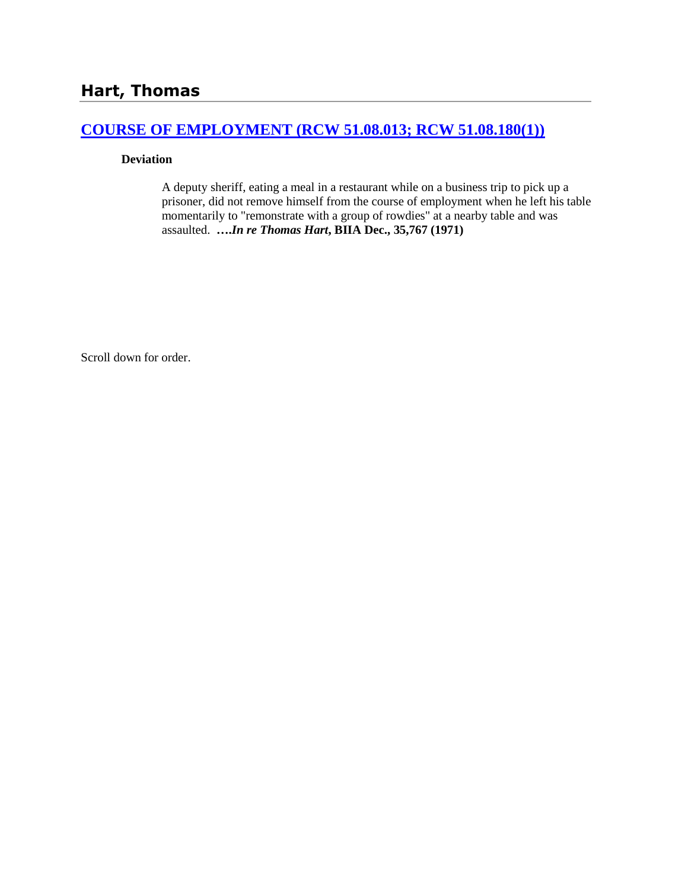## **[COURSE OF EMPLOYMENT \(RCW 51.08.013; RCW 51.08.180\(1\)\)](http://www.biia.wa.gov/SDSubjectIndex.html#COURSE_OF_EMPLOYMENT)**

#### **Deviation**

A deputy sheriff, eating a meal in a restaurant while on a business trip to pick up a prisoner, did not remove himself from the course of employment when he left his table momentarily to "remonstrate with a group of rowdies" at a nearby table and was assaulted. **….***In re Thomas Hart***, BIIA Dec., 35,767 (1971)**

Scroll down for order.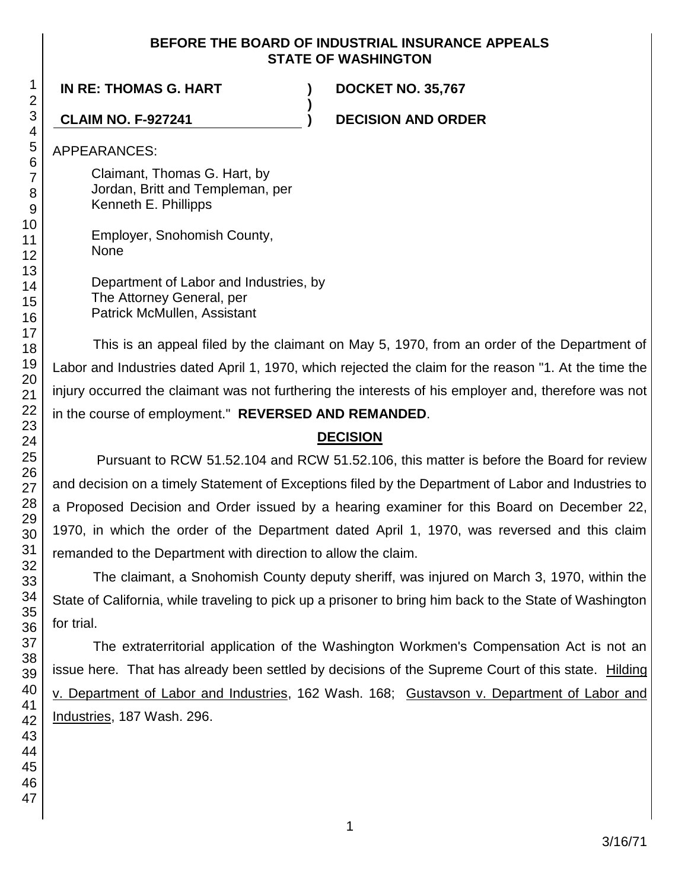## **BEFORE THE BOARD OF INDUSTRIAL INSURANCE APPEALS STATE OF WASHINGTON**

**)**

**IN RE: THOMAS G. HART ) DOCKET NO. 35,767**

**CLAIM NO. F-927241 ) DECISION AND ORDER**

APPEARANCES:

Claimant, Thomas G. Hart, by Jordan, Britt and Templeman, per Kenneth E. Phillipps

Employer, Snohomish County, None

Department of Labor and Industries, by The Attorney General, per Patrick McMullen, Assistant

This is an appeal filed by the claimant on May 5, 1970, from an order of the Department of Labor and Industries dated April 1, 1970, which rejected the claim for the reason "1. At the time the injury occurred the claimant was not furthering the interests of his employer and, therefore was not in the course of employment." **REVERSED AND REMANDED**.

# **DECISION**

Pursuant to RCW 51.52.104 and RCW 51.52.106, this matter is before the Board for review and decision on a timely Statement of Exceptions filed by the Department of Labor and Industries to a Proposed Decision and Order issued by a hearing examiner for this Board on December 22, 1970, in which the order of the Department dated April 1, 1970, was reversed and this claim remanded to the Department with direction to allow the claim.

The claimant, a Snohomish County deputy sheriff, was injured on March 3, 1970, within the State of California, while traveling to pick up a prisoner to bring him back to the State of Washington for trial.

The extraterritorial application of the Washington Workmen's Compensation Act is not an issue here. That has already been settled by decisions of the Supreme Court of this state. Hilding v. Department of Labor and Industries, 162 Wash. 168; Gustavson v. Department of Labor and Industries, 187 Wash. 296.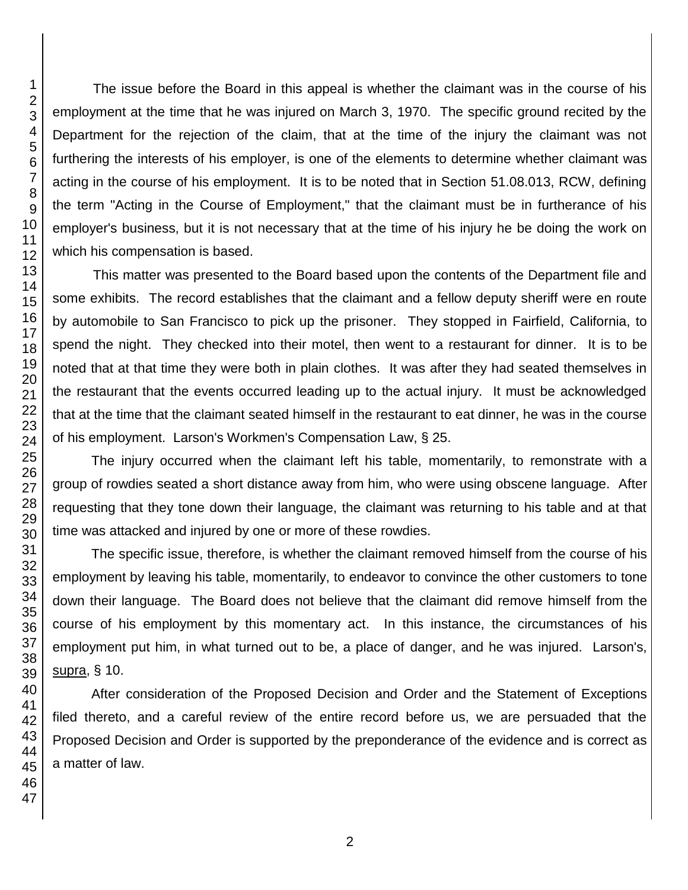The issue before the Board in this appeal is whether the claimant was in the course of his employment at the time that he was injured on March 3, 1970. The specific ground recited by the Department for the rejection of the claim, that at the time of the injury the claimant was not furthering the interests of his employer, is one of the elements to determine whether claimant was acting in the course of his employment. It is to be noted that in Section 51.08.013, RCW, defining the term "Acting in the Course of Employment," that the claimant must be in furtherance of his employer's business, but it is not necessary that at the time of his injury he be doing the work on which his compensation is based.

This matter was presented to the Board based upon the contents of the Department file and some exhibits. The record establishes that the claimant and a fellow deputy sheriff were en route by automobile to San Francisco to pick up the prisoner. They stopped in Fairfield, California, to spend the night. They checked into their motel, then went to a restaurant for dinner. It is to be noted that at that time they were both in plain clothes. It was after they had seated themselves in the restaurant that the events occurred leading up to the actual injury. It must be acknowledged that at the time that the claimant seated himself in the restaurant to eat dinner, he was in the course of his employment. Larson's Workmen's Compensation Law, § 25.

The injury occurred when the claimant left his table, momentarily, to remonstrate with a group of rowdies seated a short distance away from him, who were using obscene language. After requesting that they tone down their language, the claimant was returning to his table and at that time was attacked and injured by one or more of these rowdies.

The specific issue, therefore, is whether the claimant removed himself from the course of his employment by leaving his table, momentarily, to endeavor to convince the other customers to tone down their language. The Board does not believe that the claimant did remove himself from the course of his employment by this momentary act. In this instance, the circumstances of his employment put him, in what turned out to be, a place of danger, and he was injured. Larson's, supra, § 10.

After consideration of the Proposed Decision and Order and the Statement of Exceptions filed thereto, and a careful review of the entire record before us, we are persuaded that the Proposed Decision and Order is supported by the preponderance of the evidence and is correct as a matter of law.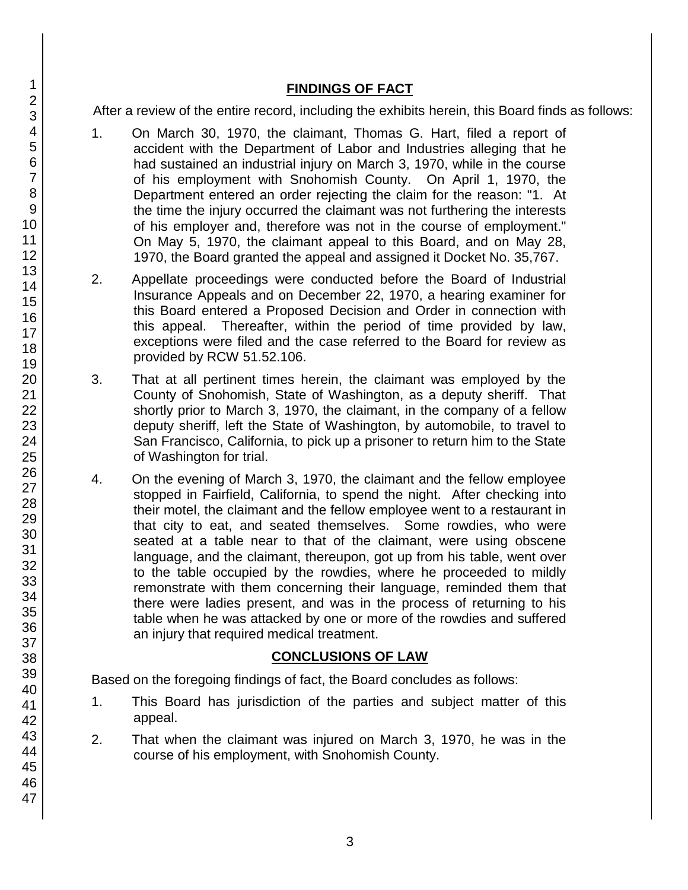## **FINDINGS OF FACT**

After a review of the entire record, including the exhibits herein, this Board finds as follows:

- 1. On March 30, 1970, the claimant, Thomas G. Hart, filed a report of accident with the Department of Labor and Industries alleging that he had sustained an industrial injury on March 3, 1970, while in the course of his employment with Snohomish County. On April 1, 1970, the Department entered an order rejecting the claim for the reason: "1. At the time the injury occurred the claimant was not furthering the interests of his employer and, therefore was not in the course of employment." On May 5, 1970, the claimant appeal to this Board, and on May 28, 1970, the Board granted the appeal and assigned it Docket No. 35,767.
- 2. Appellate proceedings were conducted before the Board of Industrial Insurance Appeals and on December 22, 1970, a hearing examiner for this Board entered a Proposed Decision and Order in connection with this appeal. Thereafter, within the period of time provided by law, exceptions were filed and the case referred to the Board for review as provided by RCW 51.52.106.
- 3. That at all pertinent times herein, the claimant was employed by the County of Snohomish, State of Washington, as a deputy sheriff. That shortly prior to March 3, 1970, the claimant, in the company of a fellow deputy sheriff, left the State of Washington, by automobile, to travel to San Francisco, California, to pick up a prisoner to return him to the State of Washington for trial.
- 4. On the evening of March 3, 1970, the claimant and the fellow employee stopped in Fairfield, California, to spend the night. After checking into their motel, the claimant and the fellow employee went to a restaurant in that city to eat, and seated themselves. Some rowdies, who were seated at a table near to that of the claimant, were using obscene language, and the claimant, thereupon, got up from his table, went over to the table occupied by the rowdies, where he proceeded to mildly remonstrate with them concerning their language, reminded them that there were ladies present, and was in the process of returning to his table when he was attacked by one or more of the rowdies and suffered an injury that required medical treatment.

## **CONCLUSIONS OF LAW**

Based on the foregoing findings of fact, the Board concludes as follows:

- 1. This Board has jurisdiction of the parties and subject matter of this appeal.
- 2. That when the claimant was injured on March 3, 1970, he was in the course of his employment, with Snohomish County.